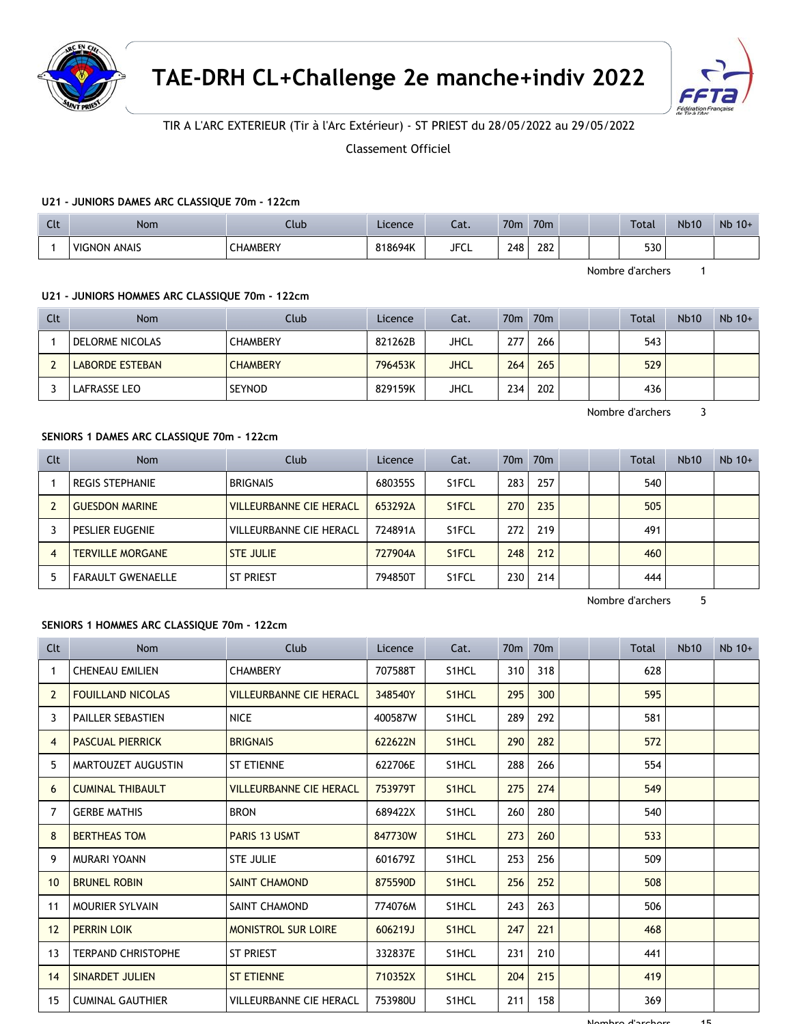



# TIR A L'ARC EXTERIEUR (Tir à l'Arc Extérieur) - ST PRIEST du 28/05/2022 au 29/05/2022

Classement Officiel

### **U21 - JUNIORS DAMES ARC CLASSIQUE 70m - 122cm**

| $\sim$<br>๛ | <b>Nom</b>             | Jub             | Licence | $\sim$<br>cal. | 70 <sub>m</sub> | 70 <sub>m</sub> |  | <b>Total</b> | <b>Nb10</b> | Nb 10+ |
|-------------|------------------------|-----------------|---------|----------------|-----------------|-----------------|--|--------------|-------------|--------|
|             | ANAIS<br><b>VIGNON</b> | <b>CHAMBERY</b> | 818694K | <b>JFCL</b>    | 248             | 282<br>___      |  | 530          |             |        |

Nombre d'archers 1

#### **U21 - JUNIORS HOMMES ARC CLASSIQUE 70m - 122cm**

| Clt | <b>Nom</b>      | Club            | Licence | Cat.        | 70 <sub>m</sub> | 70 <sub>m</sub> |  | <b>Total</b> | <b>Nb10</b> | $Nb$ 10+ |
|-----|-----------------|-----------------|---------|-------------|-----------------|-----------------|--|--------------|-------------|----------|
|     | DELORME NICOLAS | <b>CHAMBERY</b> | 821262B | JHCL        | 277             | 266             |  | 543          |             |          |
|     | LABORDE ESTEBAN | <b>CHAMBERY</b> | 796453K | <b>JHCL</b> | 264             | 265             |  | 529          |             |          |
|     | LAFRASSE LEO    | <b>SEYNOD</b>   | 829159K | <b>JHCL</b> | 234             | 202             |  | 436          |             |          |

Nombre d'archers 3

## **SENIORS 1 DAMES ARC CLASSIQUE 70m - 122cm**

| Clt | <b>Nom</b>               | Club                           | Licence | Cat.               |     | 70 <sub>m</sub> 70 <sub>m</sub> |  | <b>Total</b> | <b>Nb10</b> | $Nb$ 10+ |
|-----|--------------------------|--------------------------------|---------|--------------------|-----|---------------------------------|--|--------------|-------------|----------|
|     | <b>REGIS STEPHANIE</b>   | <b>BRIGNAIS</b>                | 680355S | S <sub>1</sub> FCL | 283 | 257                             |  | 540          |             |          |
|     | <b>GUESDON MARINE</b>    | <b>VILLEURBANNE CIE HERACL</b> | 653292A | S <sub>1</sub> FCL | 270 | 235                             |  | 505          |             |          |
|     | PESLIER EUGENIE          | VILLEURBANNE CIE HERACL        | 724891A | S <sub>1</sub> FCL | 272 | 219                             |  | 491          |             |          |
| 4   | <b>TERVILLE MORGANE</b>  | <b>STE JULIE</b>               | 727904A | S <sub>1</sub> FCL | 248 | 212                             |  | 460          |             |          |
|     | <b>FARAULT GWENAELLE</b> | <b>ST PRIEST</b>               | 794850T | S <sub>1</sub> FCL | 230 | 214                             |  | 444          |             |          |

Nombre d'archers 5

### **SENIORS 1 HOMMES ARC CLASSIQUE 70m - 122cm**

| Clt            | <b>Nom</b>                | Club                           | Licence | Cat.               |     | 70 <sub>m</sub> 70 <sub>m</sub> |  | Total | <b>Nb10</b> | $Nb$ 10+ |
|----------------|---------------------------|--------------------------------|---------|--------------------|-----|---------------------------------|--|-------|-------------|----------|
| 1              | <b>CHENEAU EMILIEN</b>    | <b>CHAMBERY</b>                | 707588T | S1HCL              | 310 | 318                             |  | 628   |             |          |
| $\overline{2}$ | <b>FOUILLAND NICOLAS</b>  | <b>VILLEURBANNE CIE HERACL</b> | 348540Y | S1HCL              | 295 | 300                             |  | 595   |             |          |
| 3              | <b>PAILLER SEBASTIEN</b>  | <b>NICE</b>                    | 400587W | S1HCL              | 289 | 292                             |  | 581   |             |          |
| $\overline{4}$ | <b>PASCUAL PIERRICK</b>   | <b>BRIGNAIS</b>                | 622622N | S1HCL              | 290 | 282                             |  | 572   |             |          |
| 5              | MARTOUZET AUGUSTIN        | <b>ST ETIENNE</b>              | 622706E | S1HCL              | 288 | 266                             |  | 554   |             |          |
| 6              | <b>CUMINAL THIBAULT</b>   | <b>VILLEURBANNE CIE HERACL</b> | 753979T | S <sub>1</sub> HCL | 275 | 274                             |  | 549   |             |          |
| 7              | <b>GERBE MATHIS</b>       | <b>BRON</b>                    | 689422X | S1HCL              | 260 | 280                             |  | 540   |             |          |
| 8              | <b>BERTHEAS TOM</b>       | <b>PARIS 13 USMT</b>           | 847730W | S <sub>1</sub> HCL | 273 | 260                             |  | 533   |             |          |
| 9              | <b>MURARI YOANN</b>       | <b>STE JULIE</b>               | 601679Z | S1HCL              | 253 | 256                             |  | 509   |             |          |
| 10             | <b>BRUNEL ROBIN</b>       | <b>SAINT CHAMOND</b>           | 875590D | S <sub>1</sub> HCL | 256 | 252                             |  | 508   |             |          |
| 11             | <b>MOURIER SYLVAIN</b>    | SAINT CHAMOND                  | 774076M | S1HCL              | 243 | 263                             |  | 506   |             |          |
| 12             | <b>PERRIN LOIK</b>        | <b>MONISTROL SUR LOIRE</b>     | 606219J | S1HCL              | 247 | 221                             |  | 468   |             |          |
| 13             | <b>TERPAND CHRISTOPHE</b> | <b>ST PRIEST</b>               | 332837E | S1HCL              | 231 | 210                             |  | 441   |             |          |
| 14             | <b>SINARDET JULIEN</b>    | <b>ST ETIENNE</b>              | 710352X | S1HCL              | 204 | 215                             |  | 419   |             |          |
| 15             | <b>CUMINAL GAUTHIER</b>   | VILLEURBANNE CIE HERACL        | 753980U | S1HCL              | 211 | 158                             |  | 369   |             |          |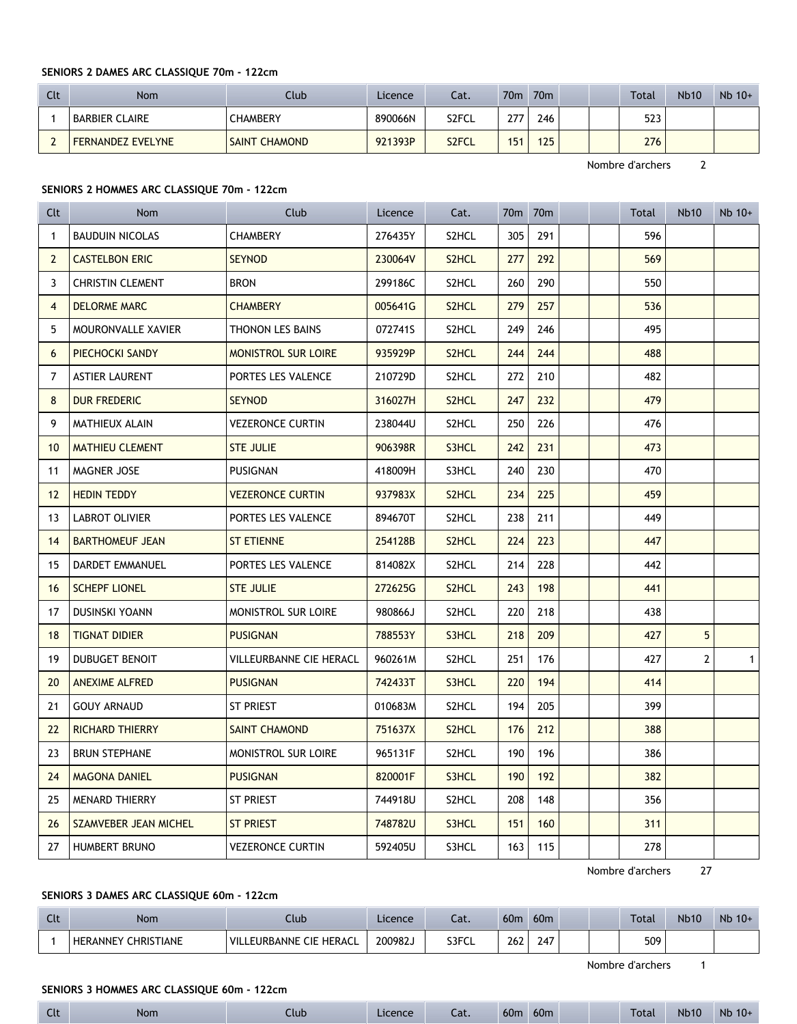## **SENIORS 2 DAMES ARC CLASSIQUE 70m - 122cm**

| Clt | Nom                      | Club                 | Licence | Cat.  | 70 <sub>m</sub> | 70 <sub>m</sub> |  | <b>Total</b> | <b>Nb10</b> | $Nb$ 10+ |
|-----|--------------------------|----------------------|---------|-------|-----------------|-----------------|--|--------------|-------------|----------|
|     | <b>BARBIER CLAIRE</b>    | <b>CHAMBERY</b>      | 890066N | S2FCL | 277             | 246             |  | 523          |             |          |
|     | <b>FERNANDEZ EVELYNE</b> | <b>SAINT CHAMOND</b> | 921393P | S2FCL | 151             | 125             |  | 276          |             |          |

Nombre d'archers 2

### **SENIORS 2 HOMMES ARC CLASSIQUE 70m - 122cm**

| Clt            | Nom                     | Club                       | Licence | Cat.               | 70 <sub>m</sub> | 70 <sub>m</sub> |  | Total | <b>Nb10</b>    | Nb 10+         |
|----------------|-------------------------|----------------------------|---------|--------------------|-----------------|-----------------|--|-------|----------------|----------------|
| 1              | <b>BAUDUIN NICOLAS</b>  | <b>CHAMBERY</b>            | 276435Y | S2HCL              | 305             | 291             |  | 596   |                |                |
| $\overline{2}$ | <b>CASTELBON ERIC</b>   | <b>SEYNOD</b>              | 230064V | S <sub>2</sub> HCL | 277             | 292             |  | 569   |                |                |
| 3              | <b>CHRISTIN CLEMENT</b> | <b>BRON</b>                | 299186C | S2HCL              | 260             | 290             |  | 550   |                |                |
| $\overline{4}$ | <b>DELORME MARC</b>     | <b>CHAMBERY</b>            | 005641G | S <sub>2</sub> HCL | 279             | 257             |  | 536   |                |                |
| 5              | MOURONVALLE XAVIER      | <b>THONON LES BAINS</b>    | 072741S | S2HCL              | 249             | 246             |  | 495   |                |                |
| 6              | PIECHOCKI SANDY         | <b>MONISTROL SUR LOIRE</b> | 935929P | S <sub>2</sub> HCL | 244             | 244             |  | 488   |                |                |
| 7              | <b>ASTIER LAURENT</b>   | PORTES LES VALENCE         | 210729D | S2HCL              | 272             | 210             |  | 482   |                |                |
| 8              | <b>DUR FREDERIC</b>     | <b>SEYNOD</b>              | 316027H | S2HCL              | 247             | 232             |  | 479   |                |                |
| 9              | MATHIEUX ALAIN          | <b>VEZERONCE CURTIN</b>    | 238044U | S2HCL              | 250             | 226             |  | 476   |                |                |
| 10             | <b>MATHIEU CLEMENT</b>  | <b>STE JULIE</b>           | 906398R | S3HCL              | 242             | 231             |  | 473   |                |                |
| 11             | <b>MAGNER JOSE</b>      | <b>PUSIGNAN</b>            | 418009H | S3HCL              | 240             | 230             |  | 470   |                |                |
| 12             | <b>HEDIN TEDDY</b>      | <b>VEZERONCE CURTIN</b>    | 937983X | S <sub>2</sub> HCL | 234             | 225             |  | 459   |                |                |
| 13             | LABROT OLIVIER          | PORTES LES VALENCE         | 894670T | S2HCL              | 238             | 211             |  | 449   |                |                |
| 14             | <b>BARTHOMEUF JEAN</b>  | <b>ST ETIENNE</b>          | 254128B | S2HCL              | 224             | 223             |  | 447   |                |                |
| 15             | DARDET EMMANUEL         | PORTES LES VALENCE         | 814082X | S2HCL              | 214             | 228             |  | 442   |                |                |
| 16             | <b>SCHEPF LIONEL</b>    | <b>STE JULIE</b>           | 272625G | S <sub>2</sub> HCL | 243             | 198             |  | 441   |                |                |
| 17             | DUSINSKI YOANN          | MONISTROL SUR LOIRE        | 980866J | S2HCL              | 220             | 218             |  | 438   |                |                |
| 18             | <b>TIGNAT DIDIER</b>    | <b>PUSIGNAN</b>            | 788553Y | S3HCL              | 218             | 209             |  | 427   | 5              |                |
| 19             | <b>DUBUGET BENOIT</b>   | VILLEURBANNE CIE HERACL    | 960261M | S2HCL              | 251             | 176             |  | 427   | $\overline{2}$ | 1 <sup>1</sup> |
| 20             | <b>ANEXIME ALFRED</b>   | <b>PUSIGNAN</b>            | 742433T | S3HCL              | 220             | 194             |  | 414   |                |                |
| 21             | <b>GOUY ARNAUD</b>      | <b>ST PRIEST</b>           | 010683M | S2HCL              | 194             | 205             |  | 399   |                |                |
| 22             | <b>RICHARD THIERRY</b>  | <b>SAINT CHAMOND</b>       | 751637X | S2HCL              | 176             | 212             |  | 388   |                |                |
| 23             | <b>BRUN STEPHANE</b>    | MONISTROL SUR LOIRE        | 965131F | S2HCL              | 190             | 196             |  | 386   |                |                |
| 24             | <b>MAGONA DANIEL</b>    | <b>PUSIGNAN</b>            | 820001F | S3HCL              | 190             | 192             |  | 382   |                |                |
| 25             | <b>MENARD THIERRY</b>   | <b>ST PRIEST</b>           | 744918U | S2HCL              | 208             | 148             |  | 356   |                |                |
| 26             | SZAMVEBER JEAN MICHEL   | <b>ST PRIEST</b>           | 748782U | S3HCL              | 151             | 160             |  | 311   |                |                |
| 27             | <b>HUMBERT BRUNO</b>    | <b>VEZERONCE CURTIN</b>    | 592405U | S3HCL              | 163             | 115             |  | 278   |                |                |

Nombre d'archers 27

# **SENIORS 3 DAMES ARC CLASSIQUE 60m - 122cm**

| Clt | Nom                                  | Llub                    | Licence | Cat.  | 60 <sub>m</sub> | 60 <sub>m</sub>        |  | <b>Total</b> | <b>Nb10</b> | Nb 10+ |
|-----|--------------------------------------|-------------------------|---------|-------|-----------------|------------------------|--|--------------|-------------|--------|
|     | <b>CHRISTIANE</b><br><b>HERANNEY</b> | VILLEURBANNE CIE HERACL | 200982J | S3FCL | 262             | $\overline{ }$<br>24 I |  | 509          |             |        |

Nombre d'archers 1

### **SENIORS 3 HOMMES ARC CLASSIQUE 60m - 122cm**

| $-1$<br>ີ | <b>Nom</b> | Llub <sub>-</sub> | Licence | $\sim$<br>Cal. | 60 <sub>m</sub> | 60 <sub>m</sub> |  |  | <b>Total</b> | <b>Nb10</b> | <b>Nb</b><br>$10+$ |  |
|-----------|------------|-------------------|---------|----------------|-----------------|-----------------|--|--|--------------|-------------|--------------------|--|
|-----------|------------|-------------------|---------|----------------|-----------------|-----------------|--|--|--------------|-------------|--------------------|--|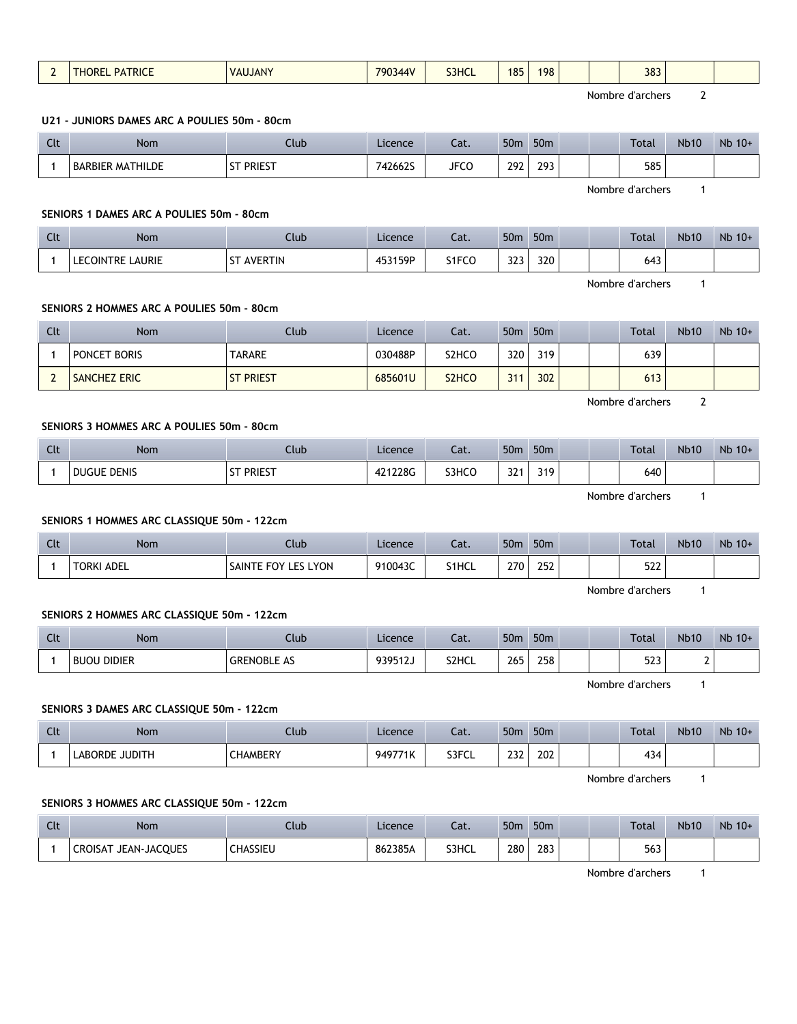| $\overline{2}$ | <b>THOREL PATRICE</b>                        | <b>VAUJANY</b>      | 790344V | S3HCL                          | 185             | 198             | 383              |                |        |
|----------------|----------------------------------------------|---------------------|---------|--------------------------------|-----------------|-----------------|------------------|----------------|--------|
|                |                                              |                     |         |                                |                 |                 | Nombre d'archers | $\mathbf{2}$   |        |
|                | U21 - JUNIORS DAMES ARC A POULIES 50m - 80cm |                     |         |                                |                 |                 |                  |                |        |
| Clt            | <b>Nom</b>                                   | Club                | Licence | Cat.                           | 50 <sub>m</sub> | 50 <sub>m</sub> | Total            | <b>Nb10</b>    | Nb 10+ |
| $\mathbf{1}$   | <b>BARBIER MATHILDE</b>                      | <b>ST PRIEST</b>    | 742662S | <b>JFCO</b>                    | 292             | 293             | 585              |                |        |
|                |                                              |                     |         |                                |                 |                 | Nombre d'archers | $\mathbf{1}$   |        |
|                | SENIORS 1 DAMES ARC A POULIES 50m - 80cm     |                     |         |                                |                 |                 |                  |                |        |
| Clt            | Nom                                          | Club                | Licence | Cat.                           | 50 <sub>m</sub> | 50m             | Total            | <b>Nb10</b>    | Nb 10+ |
| $\mathbf{1}$   | <b>LECOINTRE LAURIE</b>                      | <b>ST AVERTIN</b>   | 453159P | S1FCO                          | 323             | 320             | 643              |                |        |
|                |                                              |                     |         |                                |                 |                 | Nombre d'archers | $\mathbf{1}$   |        |
|                | SENIORS 2 HOMMES ARC A POULIES 50m - 80cm    |                     |         |                                |                 |                 |                  |                |        |
| Clt            | <b>Nom</b>                                   | Club                | Licence | Cat.                           | 50 <sub>m</sub> | 50 <sub>m</sub> | Total            | <b>Nb10</b>    | Nb 10+ |
| $\mathbf{1}$   | PONCET BORIS                                 | <b>TARARE</b>       | 030488P | S <sub>2</sub> HCO             | 320             | 319             | 639              |                |        |
| $\overline{2}$ | <b>SANCHEZ ERIC</b>                          | <b>ST PRIEST</b>    | 685601U | S <sub>2</sub> H <sub>CO</sub> | 311             | 302             | 613              |                |        |
|                |                                              |                     |         |                                |                 |                 | Nombre d'archers | $\overline{2}$ |        |
|                | SENIORS 3 HOMMES ARC A POULIES 50m - 80cm    |                     |         |                                |                 |                 |                  |                |        |
| Clt            | Nom                                          | Club                | Licence | Cat.                           | 50 <sub>m</sub> | 50 <sub>m</sub> | Total            | <b>Nb10</b>    | Nb 10+ |
| $\mathbf{1}$   | <b>DUGUE DENIS</b>                           | <b>ST PRIEST</b>    | 421228G | S3HCO                          | 321             | 319             | 640              |                |        |
|                |                                              |                     |         |                                |                 |                 | Nombre d'archers | $\mathbf{1}$   |        |
|                | SENIORS 1 HOMMES ARC CLASSIQUE 50m - 122cm   |                     |         |                                |                 |                 |                  |                |        |
| Clt            | <b>Nom</b>                                   | Club                | Licence | Cat.                           |                 | 50m 50m         | Total            | <b>Nb10</b>    | Nb 10+ |
| $\mathbf{1}$   | <b>TORKI ADEL</b>                            | SAINTE FOY LES LYON | 910043C | S1HCL                          | 270             | 252             | 522              |                |        |
|                |                                              |                     |         |                                |                 |                 | Nombre d'archers | $\mathbf{1}$   |        |
|                | SENIORS 2 HOMMES ARC CLASSIQUE 50m - 122cm   |                     |         |                                |                 |                 |                  |                |        |
| Clt            | <b>Nom</b>                                   | Club                | Licence | Cat.                           | 50 <sub>m</sub> | 50 <sub>m</sub> | Total            | <b>Nb10</b>    | Nb 10+ |
| $\mathbf{1}$   | <b>BUOU DIDIER</b>                           | <b>GRENOBLE AS</b>  | 939512J | S2HCL                          | 265             | 258             | 523              | $\mathbf{2}$   |        |
|                |                                              |                     |         |                                |                 |                 | Nombre d'archers | $\mathbf{1}$   |        |
|                | SENIORS 3 DAMES ARC CLASSIQUE 50m - 122cm    |                     |         |                                |                 |                 |                  |                |        |
| Clt            | Nom                                          | Club                | Licence | Cat.                           | 50m             | 50 <sub>m</sub> | Total            | <b>Nb10</b>    | Nb 10+ |
| $\mathbf{1}$   | LABORDE JUDITH                               | CHAMBERY            | 949771K | S3FCL                          | 232             | 202             | 434              |                |        |
|                |                                              |                     |         |                                |                 |                 | Nombre d'archers | $\mathbf{1}$   |        |
|                | SENIORS 3 HOMMES ARC CLASSIQUE 50m - 122cm   |                     |         |                                |                 |                 |                  |                |        |
| Clt            | Nom                                          | Club                | Licence | Cat.                           |                 | 50m 50m         | Total            | <b>Nb10</b>    | Nb 10+ |
|                |                                              |                     |         |                                |                 |                 |                  |                |        |

1 CROISAT JEAN-JACQUES CHASSIEU 862385A S3HCL 280 283

Nombre d'archers 1

Г

⊤

⊤

T

 $\overline{\phantom{a}}$ 

٦